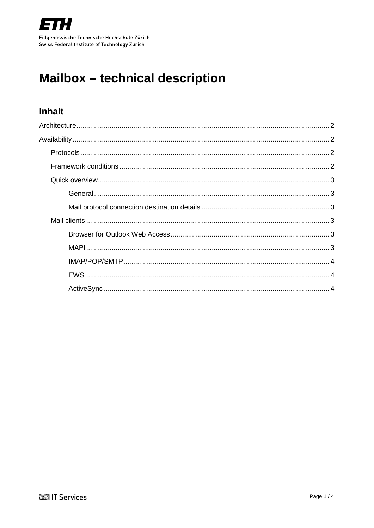

# **Mailbox - technical description**

## **Inhalt**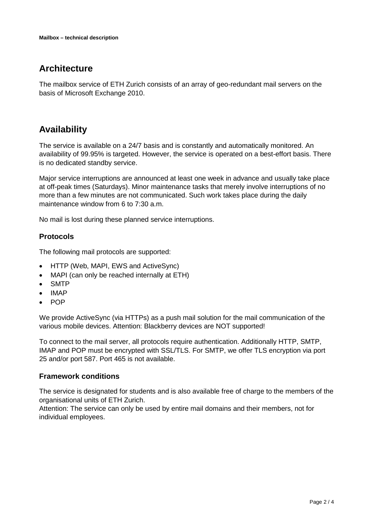## <span id="page-1-0"></span>**Architecture**

The mailbox service of ETH Zurich consists of an array of geo-redundant mail servers on the basis of Microsoft Exchange 2010.

# <span id="page-1-1"></span>**Availability**

The service is available on a 24/7 basis and is constantly and automatically monitored. An availability of 99.95% is targeted. However, the service is operated on a best-effort basis. There is no dedicated standby service.

Major service interruptions are announced at least one week in advance and usually take place at off-peak times (Saturdays). Minor maintenance tasks that merely involve interruptions of no more than a few minutes are not communicated. Such work takes place during the daily maintenance window from 6 to 7:30 a.m.

No mail is lost during these planned service interruptions.

### <span id="page-1-2"></span>**Protocols**

The following mail protocols are supported:

- HTTP (Web, MAPI, EWS and ActiveSync)
- MAPI (can only be reached internally at ETH)
- **SMTP**
- IMAP
- POP

We provide ActiveSync (via HTTPs) as a push mail solution for the mail communication of the various mobile devices. Attention: Blackberry devices are NOT supported!

To connect to the mail server, all protocols require authentication. Additionally HTTP, SMTP, IMAP and POP must be encrypted with SSL/TLS. For SMTP, we offer TLS encryption via port 25 and/or port 587. Port 465 is not available.

#### <span id="page-1-3"></span>**Framework conditions**

The service is designated for students and is also available free of charge to the members of the organisational units of ETH Zurich.

Attention: The service can only be used by entire mail domains and their members, not for individual employees.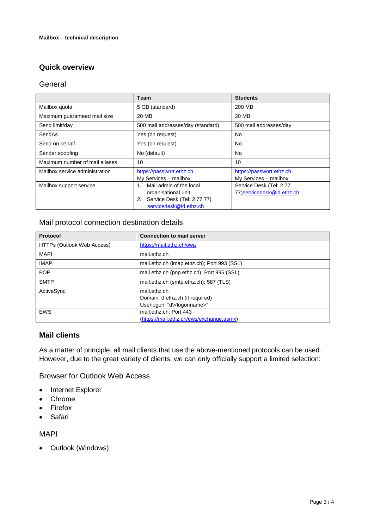## <span id="page-2-0"></span>**Quick overview**

#### <span id="page-2-1"></span>**General**

|                                | Team                                                                                                                   | <b>Students</b>                                      |
|--------------------------------|------------------------------------------------------------------------------------------------------------------------|------------------------------------------------------|
| Mailbox quota                  | 5 GB (standard)                                                                                                        | 200 MB                                               |
| Maximum guaranteed mail size   | 20 MB                                                                                                                  | 20 MB                                                |
| Send limit/day                 | 500 mail addresses/day (standard)                                                                                      | 500 mail addresses/day                               |
| SendAs                         | Yes (on request)                                                                                                       | No                                                   |
| Send on behalf                 | Yes (on request)                                                                                                       | No                                                   |
| Sender spoofing                | No (default)                                                                                                           | N <sub>0</sub>                                       |
| Maximum number of mail aliases | 10                                                                                                                     | 10                                                   |
| Mailbox service administration | https://passwort.ethz.ch<br>My Services - mailbox                                                                      | https://passwort.ethz.ch<br>My Services - mailbox    |
| Mailbox support service        | Mail admin of the local<br>$1_{-}$<br>organisational unit<br>Service Desk (Tel: 27777)<br>2.<br>servicedesk@id.ethz.ch | Service Desk (Tel: 277<br>77) servicedesk@id.ethz.ch |

#### <span id="page-2-2"></span>Mail protocol connection destination details

| <b>Protocol</b>            | <b>Connection to mail server</b>            |
|----------------------------|---------------------------------------------|
| HTTPs (Outlook Web Access) | https://mail.ethz.ch/owa                    |
| <b>MAPI</b>                | mail.ethz.ch                                |
| <b>IMAP</b>                | mail.ethz.ch (imap.ethz.ch); Port 993 (SSL) |
| <b>POP</b>                 | mail.ethz.ch (pop.ethz.ch); Port 995 (SSL)  |
| <b>SMTP</b>                | mail.ethz.ch (smtp.ethz.ch); 587 (TLS)      |
| ActiveSync                 | mail.ethz.ch                                |
|                            | Domain: d.ethz.ch (if required)             |
|                            | Userlogon: "d\ <logonname>"</logonname>     |
| <b>EWS</b>                 | mail.ethz.ch; Port 443                      |
|                            | (https://mail.ethz.ch/ews/exchange.asmx)    |

#### <span id="page-2-3"></span>**Mail clients**

As a matter of principle, all mail clients that use the above-mentioned protocols can be used. However, due to the great variety of clients, we can only officially support a limited selection:

<span id="page-2-4"></span>Browser for Outlook Web Access

- Internet Explorer
- Chrome
- Firefox
- Safari

<span id="page-2-5"></span>MAPI

• Outlook (Windows)